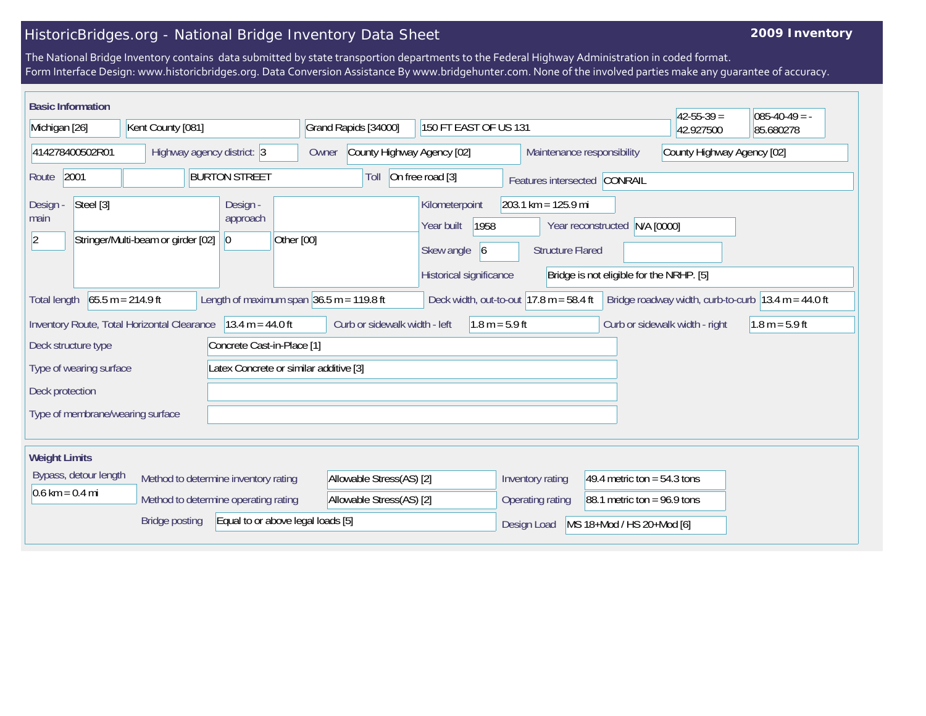## HistoricBridges.org - National Bridge Inventory Data Sheet

## **2009 Inventory**

The National Bridge Inventory contains data submitted by state transportion departments to the Federal Highway Administration in coded format. Form Interface Design: www.historicbridges.org. Data Conversion Assistance By www.bridgehunter.com. None of the involved parties make any guarantee of accuracy.

| <b>Basic Information</b>                                                                                                                                                                                                           |  |                                                                              |                                     |                                                      |                                                                                            |                                                                                                                                               |                                                          | $42 - 55 - 39 =$ | $085 - 40 - 49 = -$ |
|------------------------------------------------------------------------------------------------------------------------------------------------------------------------------------------------------------------------------------|--|------------------------------------------------------------------------------|-------------------------------------|------------------------------------------------------|--------------------------------------------------------------------------------------------|-----------------------------------------------------------------------------------------------------------------------------------------------|----------------------------------------------------------|------------------|---------------------|
| Michigan [26]                                                                                                                                                                                                                      |  | Kent County [081]                                                            |                                     | Grand Rapids [34000]                                 | 150 FT EAST OF US 131                                                                      |                                                                                                                                               |                                                          | 42.927500        | 85.680278           |
| 414278400502R01                                                                                                                                                                                                                    |  | Highway agency district: 3                                                   |                                     | Owner                                                | County Highway Agency [02]                                                                 |                                                                                                                                               | County Highway Agency [02]<br>Maintenance responsibility |                  |                     |
| 2001<br><b>BURTON STREET</b><br>Route                                                                                                                                                                                              |  |                                                                              | Toll                                | On free road [3]                                     | Features intersected CONRAIL                                                               |                                                                                                                                               |                                                          |                  |                     |
| Steel [3]<br>Design -<br>main<br>Stringer/Multi-beam or girder [02]<br>$ 2\rangle$                                                                                                                                                 |  |                                                                              | Design -<br>approach<br>$ 0\rangle$ | Other [00]                                           | Kilometerpoint<br>1958<br>Year built<br>Skew angle<br>$\vert 6$<br>Historical significance | $203.1 \text{ km} = 125.9 \text{ mi}$<br>Year reconstructed N/A [0000]<br><b>Structure Flared</b><br>Bridge is not eligible for the NRHP. [5] |                                                          |                  |                     |
| $65.5 m = 214.9 ft$<br>Length of maximum span $36.5$ m = 119.8 ft<br>Deck width, out-to-out $ 17.8 \text{ m} = 58.4 \text{ ft} $<br>Bridge roadway width, curb-to-curb $ 13.4 \text{ m} = 44.0 \text{ ft} $<br><b>Total length</b> |  |                                                                              |                                     |                                                      |                                                                                            |                                                                                                                                               |                                                          |                  |                     |
| Inventory Route, Total Horizontal Clearance<br>$13.4 m = 44.0 ft$<br>Concrete Cast-in-Place [1]<br>Deck structure type                                                                                                             |  |                                                                              |                                     | $1.8 m = 5.9 ft$<br>Curb or sidewalk width - left    |                                                                                            |                                                                                                                                               | Curb or sidewalk width - right                           | $1.8 m = 5.9 ft$ |                     |
| Latex Concrete or similar additive [3]<br>Type of wearing surface                                                                                                                                                                  |  |                                                                              |                                     |                                                      |                                                                                            |                                                                                                                                               |                                                          |                  |                     |
| Deck protection<br>Type of membrane/wearing surface                                                                                                                                                                                |  |                                                                              |                                     |                                                      |                                                                                            |                                                                                                                                               |                                                          |                  |                     |
| <b>Weight Limits</b>                                                                                                                                                                                                               |  |                                                                              |                                     |                                                      |                                                                                            |                                                                                                                                               |                                                          |                  |                     |
| Bypass, detour length<br>$0.6 \text{ km} = 0.4 \text{ mi}$                                                                                                                                                                         |  | Method to determine inventory rating<br>Method to determine operating rating |                                     | Allowable Stress(AS) [2]<br>Allowable Stress(AS) [2] |                                                                                            | Inventory rating<br>49.4 metric ton = $54.3$ tons<br>88.1 metric ton = $96.9$ tons<br>Operating rating                                        |                                                          |                  |                     |
|                                                                                                                                                                                                                                    |  | <b>Bridge posting</b>                                                        | Equal to or above legal loads [5]   |                                                      |                                                                                            | Design Load                                                                                                                                   | MS 18+Mod / HS 20+Mod [6]                                |                  |                     |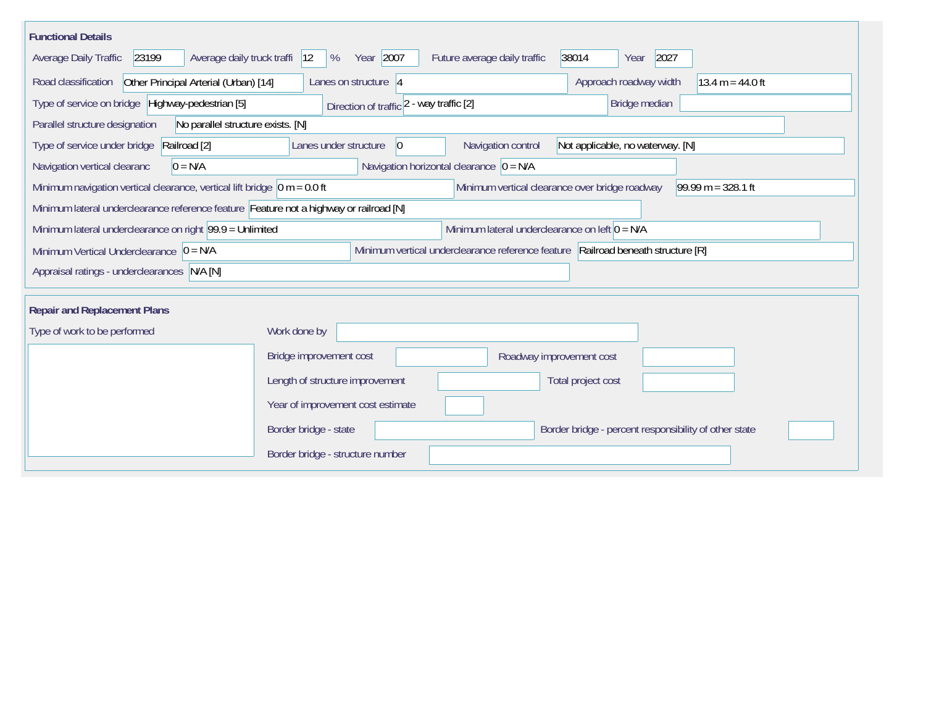| <b>Functional Details</b>                                                                                     |                                                                                  |                                                  |                                                       |                      |  |  |
|---------------------------------------------------------------------------------------------------------------|----------------------------------------------------------------------------------|--------------------------------------------------|-------------------------------------------------------|----------------------|--|--|
| Average daily truck traffi  12<br>Average Daily Traffic<br>23199                                              | Year 2007<br>%                                                                   | Future average daily traffic                     | 38014<br>2027<br>Year                                 |                      |  |  |
| Other Principal Arterial (Urban) [14]<br>Road classification                                                  | Lanes on structure $ 4$                                                          |                                                  | Approach roadway width                                | $13.4 m = 44.0 ft$   |  |  |
| Type of service on bridge Highway-pedestrian [5]<br>Bridge median<br>Direction of traffic 2 - way traffic [2] |                                                                                  |                                                  |                                                       |                      |  |  |
| Parallel structure designation<br>No parallel structure exists. [N]                                           |                                                                                  |                                                  |                                                       |                      |  |  |
| Type of service under bridge<br>Railroad [2]                                                                  | Lanes under structure<br>$ 0\rangle$                                             | Navigation control                               | Not applicable, no waterway. [N]                      |                      |  |  |
| Navigation vertical clearanc<br>$0 = N/A$                                                                     |                                                                                  | Navigation horizontal clearance $ 0 = N/A$       |                                                       |                      |  |  |
| Minimum navigation vertical clearance, vertical lift bridge $ 0 m = 0.0$ ft                                   |                                                                                  | Minimum vertical clearance over bridge roadway   |                                                       | $99.99 m = 328.1 ft$ |  |  |
| Minimum lateral underclearance reference feature Feature not a highway or railroad [N]                        |                                                                                  |                                                  |                                                       |                      |  |  |
| Minimum lateral underclearance on right 99.9 = Unlimited                                                      |                                                                                  | Minimum lateral underclearance on left $0 = N/A$ |                                                       |                      |  |  |
| Minimum Vertical Underclearance $\vert 0 = N/A \vert$                                                         | Minimum vertical underclearance reference feature Railroad beneath structure [R] |                                                  |                                                       |                      |  |  |
| Appraisal ratings - underclearances N/A [N]                                                                   |                                                                                  |                                                  |                                                       |                      |  |  |
| <b>Repair and Replacement Plans</b>                                                                           |                                                                                  |                                                  |                                                       |                      |  |  |
| Type of work to be performed                                                                                  | Work done by                                                                     |                                                  |                                                       |                      |  |  |
|                                                                                                               |                                                                                  |                                                  |                                                       |                      |  |  |
|                                                                                                               | Bridge improvement cost                                                          | Roadway improvement cost                         |                                                       |                      |  |  |
|                                                                                                               | Length of structure improvement                                                  |                                                  | Total project cost                                    |                      |  |  |
|                                                                                                               | Year of improvement cost estimate                                                |                                                  |                                                       |                      |  |  |
|                                                                                                               | Border bridge - state                                                            |                                                  | Border bridge - percent responsibility of other state |                      |  |  |
|                                                                                                               | Border bridge - structure number                                                 |                                                  |                                                       |                      |  |  |